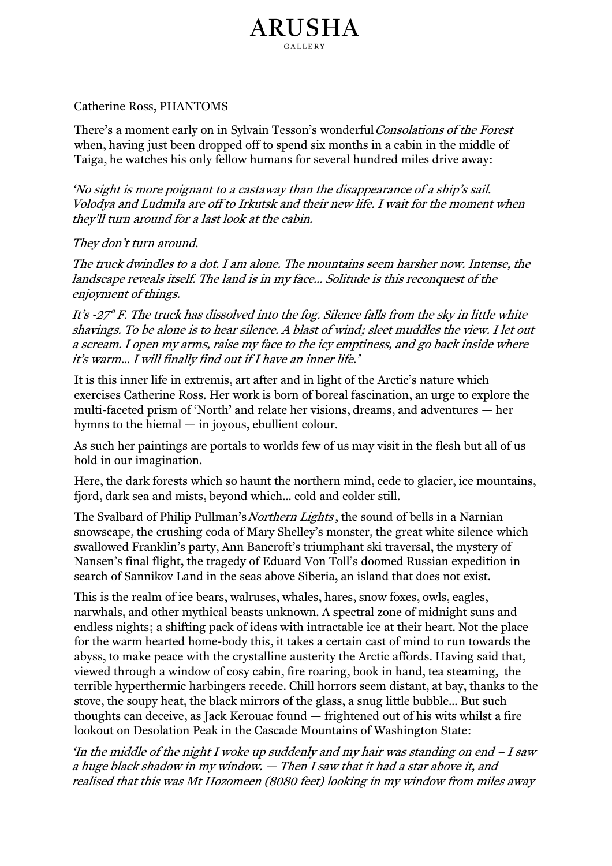## Catherine Ross, PHANTOMS

There's a moment early on in Sylvain Tesson's wonderful Consolations of the Forest when, having just been dropped off to spend six months in a cabin in the middle of Taiga, he watches his only fellow humans for several hundred miles drive away:

ARUSHA

'No sight is more poignant to a castaway than the disappearance of a ship's sail. Volodya and Ludmila are off to Irkutsk and their new life. I wait for the moment when they'll turn around for a last look at the cabin.

## They don't turn around.

The truck dwindles to a dot. I am alone. The mountains seem harsher now. Intense, the landscape reveals itself. The land is in my face… Solitude is this reconquest of the enjoyment of things.

It's -27° F. The truck has dissolved into the fog. Silence falls from the sky in little white shavings. To be alone is to hear silence. A blast of wind; sleet muddles the view. I let out a scream. I open my arms, raise my face to the icy emptiness, and go back inside where it's warm… I will finally find out if I have an inner life.'

It is this inner life in extremis, art after and in light of the Arctic's nature which exercises Catherine Ross. Her work is born of boreal fascination, an urge to explore the multi-faceted prism of 'North' and relate her visions, dreams, and adventures — her hymns to the hiemal — in joyous, ebullient colour.

As such her paintings are portals to worlds few of us may visit in the flesh but all of us hold in our imagination.

Here, the dark forests which so haunt the northern mind, cede to glacier, ice mountains, fjord, dark sea and mists, beyond which… cold and colder still.

The Svalbard of Philip Pullman's Northern Lights, the sound of bells in a Narnian snowscape, the crushing coda of Mary Shelley's monster, the great white silence which swallowed Franklin's party, Ann Bancroft's triumphant ski traversal, the mystery of Nansen's final flight, the tragedy of Eduard Von Toll's doomed Russian expedition in search of Sannikov Land in the seas above Siberia, an island that does not exist.

This is the realm of ice bears, walruses, whales, hares, snow foxes, owls, eagles, narwhals, and other mythical beasts unknown. A spectral zone of midnight suns and endless nights; a shifting pack of ideas with intractable ice at their heart. Not the place for the warm hearted home-body this, it takes a certain cast of mind to run towards the abyss, to make peace with the crystalline austerity the Arctic affords. Having said that, viewed through a window of cosy cabin, fire roaring, book in hand, tea steaming, the terrible hyperthermic harbingers recede. Chill horrors seem distant, at bay, thanks to the stove, the soupy heat, the black mirrors of the glass, a snug little bubble… But such thoughts can deceive, as Jack Kerouac found — frightened out of his wits whilst a fire lookout on Desolation Peak in the Cascade Mountains of Washington State:

'In the middle of the night I woke up suddenly and my hair was standing on end  $-I$  saw a huge black shadow in my window. — Then I saw that it had a star above it, and realised that this was Mt Hozomeen (8080 feet) looking in my window from miles away